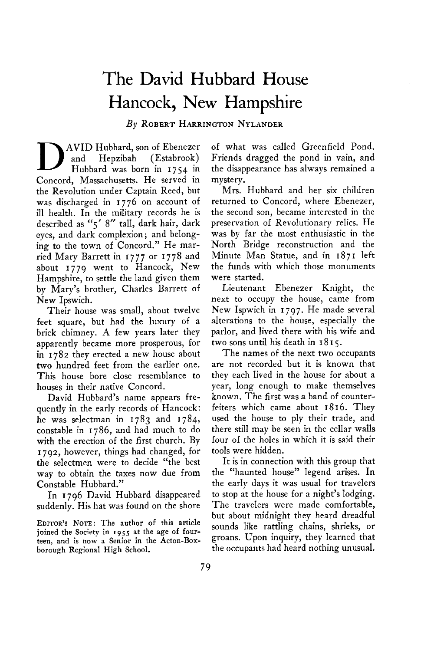## **The David Hubbard House Hancock, New Hampshire**

**By ROBERT HARRINGTON NYLANDER** 

**D AVID Hubbard, son of Ebenezer**  (Estabrook) **Hubbard was born in 1754 in Concord, Massachusetts. He served in the Revolution under Captain Reed, but was discharged in 1776 on account of ill health. In the military records he is described as "5' 8" tall, dark hair, dark eyes, and dark complexion; and belonging to the town of Concord." He married Mary Barrett in I 7 7 7 or I 77 8 and about 1779 went to Hancock, New Hampshire, to settle the land given them by Mary's brother, Charles Barrett of New Ipswich.** 

**Their house was small, about twelve feet square, but had the luxury of a brick chimney. A few years later they apparently became more prosperous, for in 1782 they erected a new house about two hundred feet from the earlier one. This house bore close resemblance to houses in their native Concord.** 

**David Hubbard's name appears frequently in the early records of Hancock: he was selectman in 1783 and 1784, constable in 1786, and had much to do with the erection of the first church. By 1792, however, things had changed, for the selectmen were to decide "the best way to obtain the taxes now due from Constable Hubbard."** 

**In 1796 David Hubbard disappeared suddenly. His hat was found on the shore** 

**EDITOR'S NOTE: The author of this article**  joined the Society in 1955 at the age of four**ieen, and is now a Senior in the &ton-Boxborough Regional High School.** 

**of what was called Greenfield Pond. Friends dragged the pond in vain, and the disappearance has always remained a mystery.** 

**Mrs. Hubbard and her six children returned to Concord, where Ebenezer, the second son, became interested in the preservation of Revolutionary relics. He was by far the most enthusiastic in the North Bridge reconstruction and the Minute Man Statue, and in 1871 left the funds with which those monuments were started.** 

**Lieutenant Ebenezer Knight, the next to occupy the house, came from New Ispwich in 1797. He made several alterations to the house, especially the parlor, and lived there with his wife and two sons until his death in I 8 I 5.** 

**The names of the next two occupants are not recorded but it is known that they each lived in the house for about a year, long enough to make themselves known. The first was a band of counterfeiters which came about 1816. They used the house to ply their trade, and there still may be seen in the cellar walls four of the holes in which it is said their tools were hidden.** 

**It is in connection with this group that the "haunted house" legend arises. In the early days it was usual for travelers to stop at the house for a night's lodging. The travelers were made comfortable, but about midnight they heard dreadful sounds like rattling chains, shrieks, or groans. Upon inquiry, they learned that the occupants had heard nothing unusual.**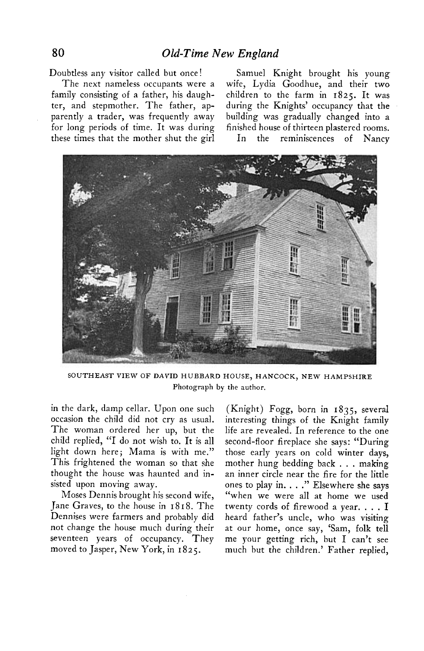**Doubtless any visitor called but once! Samuel Knight brought his young** 

**family consisting of a father, his daugh- children to the farm in 1825. It was ter, and stepmother. The father, ap- during the Knights' occupancy that the parently a trader, was frequently away building was gradually changed into a for long periods of time. It was during finished house of thirteen plastered rooms. these times that the mother shut the girl In the reminiscences of Nancy** 

**The next nameless occupants were a wife, Lydia Goodhue, and their two** 



**SOUTHEAST VIEW OF DAVID HUBBARD HOUSE, HANCOCK, NEW HAMPSHIRE Photograph by the author.** 

**in the dark, damp cellar. Upon one such occasion the child did not cry as usual. The woman ordered her up, but the child replied, "I do not wish to. It is all light down here; Mama is with me." This frightened the woman so that she thought the house was haunted and insisted upon moving away.** 

**Moses Dennis brought his second wife, Jane Graves, to the house in I 8 I 8. The Dennises were farmers and probably did not change the house much during their seventeen years of occupancy. They moved to Jasper, New York, in 1825.** 

**(Knight) Fogg, born in 1835, several interesting things of the Knight family life are revealed. In reference to the one second-floor fireplace she says: "During those early years on cold winter days, mother hung bedding back . . . making an inner circle near the fire for the little ones to play in. . . ." Elsewhere she says "when we were all at home we used twenty cords of firewood a year. . . . I heard father's uncle, who was visiting at our home, once say, 'Sam, folk tell me your getting rich, but I can't see much but the children.' Father replied,**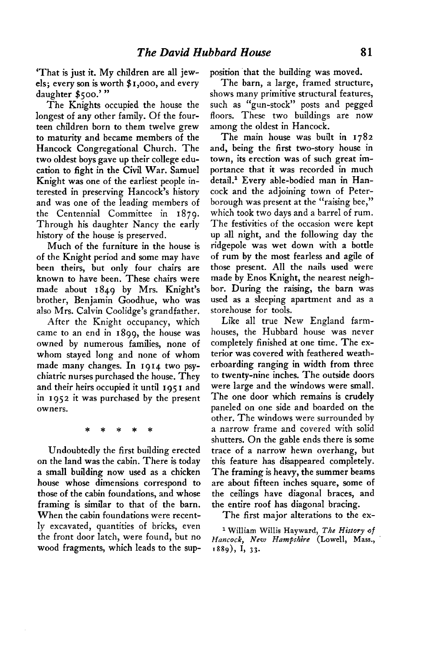**'That is just it. My children are all jewels; every son is worth \$ I ,000, and every daughter \$500.' "** 

**The Knights occupied the house the longest of any other family. Of the fourteen children born to them twelve grew to maturity and became members of the Hancock Congregational Church. The two oldest boys gave up their college education to fight in the Civil War. Samuel Knight was one of the earliest people interested in preserving Hancock's history and was one of the leading members of the Centennial Committee in 1879. Through his daughter Nancy the early history of the house is preserved.** 

**Much of the furniture in the house is of the Knight period and some may have been theirs, but only four chairs are known to have been. These chairs were made about 1849 by Mrs. Knight's brother, Benjamin Goodhue, who was also Mrs. Calvin Coolidge's grandfather.** 

**After the Knight occupancy, which came to an end in 1899, the house was owned by numerous families, none of whom stayed long and none of whom**  made many changes. In 1914 two psy**chiatric nurses purchased the house. They and their heirs occupied it until 195 I and in 1952 it was purchased by the present owners.** 

**\* \* \* \* \*** 

**Undoubtedly the first building erected on the land was the cabin. There is today a small building now used as a chicken house whose dimensions correspond to those of the cabin foundations, and whose framing is similar to that of the barn. When the cabin foundations were recently excavated, quantities of bricks, even the front door latch, were found, but no wood fragments, which leads to the sup-** position that the building was moved.

**The barn, a large, framed structure, shows many primitive structural features, such as "gun-stock" posts and pegged floors. These two buildings are now among the oldest in Hancock.** 

**The main house was built in I 782 and, being the first two-story house in town, its erection was of such great importance that it was recorded in much**  detail.<sup>1</sup> Every able-bodied man in Han**cock and the adjoining town of Peterborough was present at the "raising bee," which took two days and a barrel of rum. The festivities of the occasion were kept up all night, and the following day the ridgepole was wet down with a bottle of rum by the most fearless and agile of those present. All the nails used were made by Enos Knight, the nearest neighbor. During the raising, the barn was used as a sleeping apartment and as a storehouse for tools.** 

**Like all true New England farmhouses, the Hubbard house was never completely finished at one time. The exterior was covered with feathered weatherboarding ranging in width from three to twenty-nine inches. The outside doors were large and the windows were small. The one door which remains is crudely paneled on one side and boarded on the other. The windows were surrounded by a narrow frame and covered with solid shutters. On the gable ends there is some trace of a narrow hewn overhang, but this feature has disappeared completely. The framing is heavy, the summer beams are about fifteen inches square, some of the ceilings have diagonal braces, and the entire roof has diagonal bracing.** 

**The first major alterations to the ex-**

**1 William Willis Hayward, The History of Hancock, New Hampshire (Lowell, Mass., '889)) I, 33.**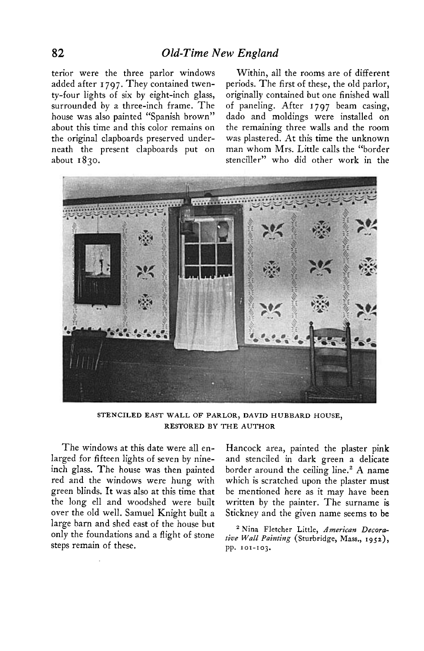**added after I 797. They contained twen- periods. The first of these, the old parlor, ty-four lights of six by eight-inch glass, originally contained but one finished wall surrounded by a three-inch frame. The of paneling. After 1797 beam casing, about this time and this color remains on the remaining three walls and the room the original clapboards preserved under- was plastered. At this time the unknown**  neath the present clapboards put on

**terior were the three parlor windows Within, all the rooms are of different**  dado and moldings were installed on **about I 830. stenciller" who did other work in the** 



**STENCILED EAST WALL OF PARLOR, DAVID HUBBARD HOUSE, RESTORED BY THE AUTHOR** 

**The windows at this date were all enlarged for fifteen lights of seven by nineinch glass. The house was then painted red and the windows were hung with green blinds. It was also at this time that the long ell and woodshed were built over the old well. Samuel Knight built a large barn and shed east of the house but only the foundations and a flight of stone steps remain of these.** 

**Hancock area, painted the plaster pink and stenciled in dark green a delicate border around the ceiling line.' A name which is scratched upon the plaster must be mentioned here as it may have been written by the painter. The surname is Stickney and the given name seems to be** 

**2 Nina Fletcher Little, American Decorative Wall Painting (Sturbridge, Mass., 1952), pp. Ior-103.**